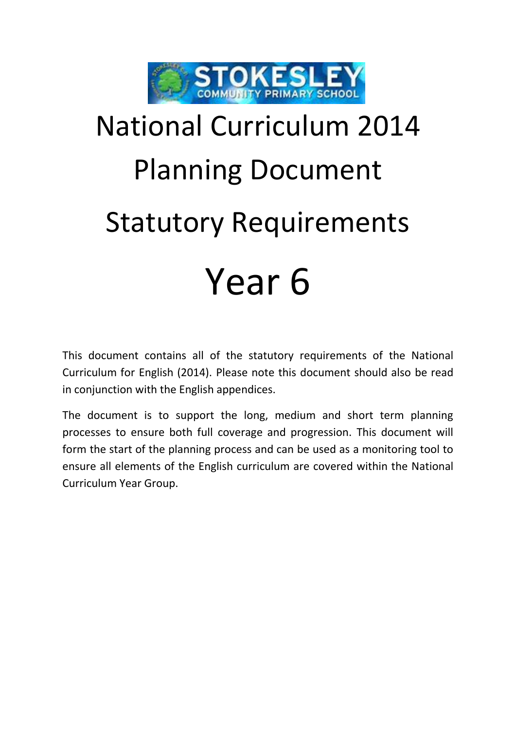

## National Curriculum 2014 Planning Document Statutory Requirements Year 6

This document contains all of the statutory requirements of the National Curriculum for English (2014). Please note this document should also be read in conjunction with the English appendices.

The document is to support the long, medium and short term planning processes to ensure both full coverage and progression. This document will form the start of the planning process and can be used as a monitoring tool to ensure all elements of the English curriculum are covered within the National Curriculum Year Group.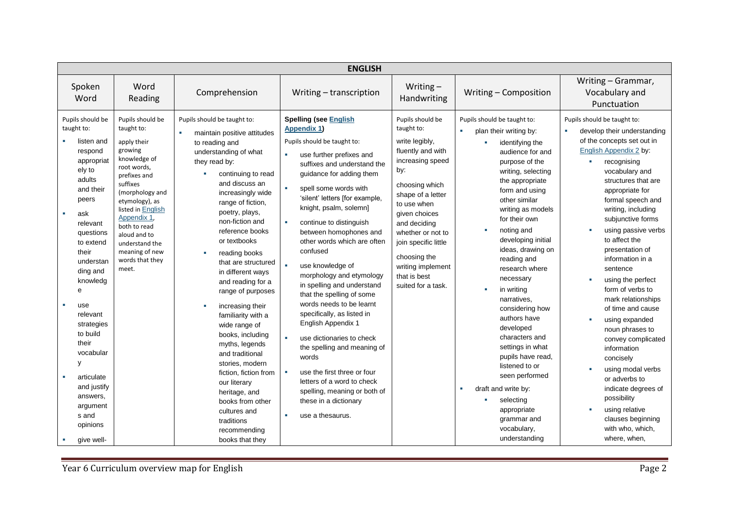| <b>ENGLISH</b>                                                                                                                                                                                                                                                                                                                                                                                                 |                                                                                                                                                                                                                                                                                              |                                                                                                                                                                                                                                                                                                                                                                                                                                                                                                                                                                                                                                                                               |                                                                                                                                                                                                                                                                                                                                                                                                                                                                                                                                                                                                                                                                                                                                                                                                                           |                                                                                                                                                                                                                                                                                                                 |                                                                                                                                                                                                                                                                                                                                                                                                                                                                                                                                                                                                                                                 |                                                                                                                                                                                                                                                                                                                                                                                                                                                                                                                                                                                                                                                                                            |  |
|----------------------------------------------------------------------------------------------------------------------------------------------------------------------------------------------------------------------------------------------------------------------------------------------------------------------------------------------------------------------------------------------------------------|----------------------------------------------------------------------------------------------------------------------------------------------------------------------------------------------------------------------------------------------------------------------------------------------|-------------------------------------------------------------------------------------------------------------------------------------------------------------------------------------------------------------------------------------------------------------------------------------------------------------------------------------------------------------------------------------------------------------------------------------------------------------------------------------------------------------------------------------------------------------------------------------------------------------------------------------------------------------------------------|---------------------------------------------------------------------------------------------------------------------------------------------------------------------------------------------------------------------------------------------------------------------------------------------------------------------------------------------------------------------------------------------------------------------------------------------------------------------------------------------------------------------------------------------------------------------------------------------------------------------------------------------------------------------------------------------------------------------------------------------------------------------------------------------------------------------------|-----------------------------------------------------------------------------------------------------------------------------------------------------------------------------------------------------------------------------------------------------------------------------------------------------------------|-------------------------------------------------------------------------------------------------------------------------------------------------------------------------------------------------------------------------------------------------------------------------------------------------------------------------------------------------------------------------------------------------------------------------------------------------------------------------------------------------------------------------------------------------------------------------------------------------------------------------------------------------|--------------------------------------------------------------------------------------------------------------------------------------------------------------------------------------------------------------------------------------------------------------------------------------------------------------------------------------------------------------------------------------------------------------------------------------------------------------------------------------------------------------------------------------------------------------------------------------------------------------------------------------------------------------------------------------------|--|
| Spoken<br>Word                                                                                                                                                                                                                                                                                                                                                                                                 | Word<br>Reading                                                                                                                                                                                                                                                                              | Comprehension                                                                                                                                                                                                                                                                                                                                                                                                                                                                                                                                                                                                                                                                 | Writing - transcription                                                                                                                                                                                                                                                                                                                                                                                                                                                                                                                                                                                                                                                                                                                                                                                                   | Writing $-$<br>Handwriting                                                                                                                                                                                                                                                                                      | Writing - Composition                                                                                                                                                                                                                                                                                                                                                                                                                                                                                                                                                                                                                           | Writing - Grammar,<br>Vocabulary and<br>Punctuation                                                                                                                                                                                                                                                                                                                                                                                                                                                                                                                                                                                                                                        |  |
| Pupils should be<br>taught to:<br>listen and<br>respond<br>appropriat<br>ely to<br>adults<br>and their<br>peers<br>$\mathcal{L}_{\mathcal{A}}$<br>ask<br>relevant<br>questions<br>to extend<br>their<br>understan<br>ding and<br>knowledg<br>e<br>use<br>relevant<br>strategies<br>to build<br>their<br>vocabular<br>У<br>articulate<br>and justify<br>answers,<br>argument<br>s and<br>opinions<br>give well- | Pupils should be<br>taught to:<br>apply their<br>growing<br>knowledge of<br>root words,<br>prefixes and<br>suffixes<br>(morphology and<br>etymology), as<br>listed in English<br>Appendix 1,<br>both to read<br>aloud and to<br>understand the<br>meaning of new<br>words that they<br>meet. | Pupils should be taught to:<br>maintain positive attitudes<br>to reading and<br>understanding of what<br>they read by:<br>continuing to read<br>and discuss an<br>increasingly wide<br>range of fiction,<br>poetry, plays,<br>non-fiction and<br>reference books<br>or textbooks<br>reading books<br>that are structured<br>in different ways<br>and reading for a<br>range of purposes<br>increasing their<br>familiarity with a<br>wide range of<br>books, including<br>myths, legends<br>and traditional<br>stories, modern<br>fiction, fiction from<br>our literary<br>heritage, and<br>books from other<br>cultures and<br>traditions<br>recommending<br>books that they | <b>Spelling (see English</b><br><b>Appendix 1)</b><br>Pupils should be taught to:<br>use further prefixes and<br>×.<br>suffixes and understand the<br>guidance for adding them<br>spell some words with<br>'silent' letters [for example,<br>knight, psalm, solemn]<br>continue to distinguish<br>$\mathbf{r}$<br>between homophones and<br>other words which are often<br>confused<br>$\mathbf{r}$<br>use knowledge of<br>morphology and etymology<br>in spelling and understand<br>that the spelling of some<br>words needs to be learnt<br>specifically, as listed in<br><b>English Appendix 1</b><br>use dictionaries to check<br>the spelling and meaning of<br>words<br>use the first three or four<br>×<br>letters of a word to check<br>spelling, meaning or both of<br>these in a dictionary<br>use a thesaurus. | Pupils should be<br>taught to:<br>write legibly,<br>fluently and with<br>increasing speed<br>by:<br>choosing which<br>shape of a letter<br>to use when<br>given choices<br>and deciding<br>whether or not to<br>join specific little<br>choosing the<br>writing implement<br>that is best<br>suited for a task. | Pupils should be taught to:<br>$\mathbf{r}$<br>plan their writing by:<br>identifying the<br>×<br>audience for and<br>purpose of the<br>writing, selecting<br>the appropriate<br>form and using<br>other similar<br>writing as models<br>for their own<br>noting and<br>developing initial<br>ideas, drawing on<br>reading and<br>research where<br>necessary<br>in writing<br>narratives,<br>considering how<br>authors have<br>developed<br>characters and<br>settings in what<br>pupils have read,<br>listened to or<br>seen performed<br>draft and write by:<br>×<br>selecting<br>appropriate<br>grammar and<br>vocabulary,<br>understanding | Pupils should be taught to:<br>develop their understanding<br>of the concepts set out in<br>English Appendix 2 by:<br>recognising<br>vocabulary and<br>structures that are<br>appropriate for<br>formal speech and<br>writing, including<br>subjunctive forms<br>using passive verbs<br>to affect the<br>presentation of<br>information in a<br>sentence<br>using the perfect<br>form of verbs to<br>mark relationships<br>of time and cause<br>using expanded<br>noun phrases to<br>convey complicated<br>information<br>concisely<br>using modal verbs<br>or adverbs to<br>indicate degrees of<br>possibility<br>using relative<br>clauses beginning<br>with who, which,<br>where, when, |  |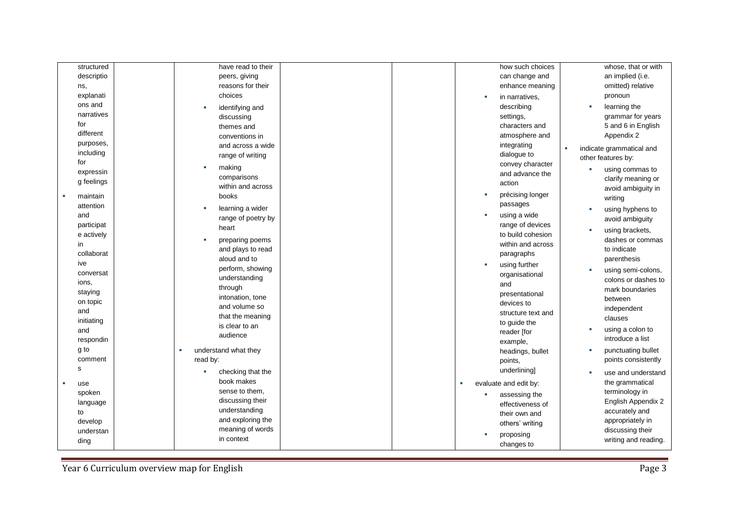| structured        | have read to their     |    | how such choices      |   | whose, that or with      |
|-------------------|------------------------|----|-----------------------|---|--------------------------|
| descriptio        | peers, giving          |    | can change and        |   | an implied (i.e.         |
|                   | reasons for their      |    |                       |   | omitted) relative        |
| ns,               | choices                |    | enhance meaning       |   |                          |
| explanati         |                        |    | in narratives,        |   | pronoun                  |
| ons and           | identifying and        |    | describing            | × | learning the             |
| narratives        | discussing             |    | settings,             |   | grammar for years        |
| for               | themes and             |    | characters and        |   | 5 and 6 in English       |
| different         | conventions in         |    | atmosphere and        |   | Appendix 2               |
| purposes,         | and across a wide      |    | integrating           | × | indicate grammatical and |
| including         | range of writing       |    | dialogue to           |   | other features by:       |
| for               | making                 |    | convey character      |   |                          |
| expressin         | comparisons            |    | and advance the       |   | using commas to          |
| g feelings        | within and across      |    | action                |   | clarify meaning or       |
|                   |                        | ×. | précising longer      |   | avoid ambiguity in       |
| maintain          | books                  |    | passages              |   | writing                  |
| attention         | learning a wider       |    |                       | п | using hyphens to         |
| and               | range of poetry by     |    | using a wide          |   | avoid ambiguity          |
| participat        | heart                  |    | range of devices      | п | using brackets,          |
| e actively        | preparing poems        |    | to build cohesion     |   | dashes or commas         |
| in                | and plays to read      |    | within and across     |   | to indicate              |
| collaborat        | aloud and to           |    | paragraphs            |   | parenthesis              |
| ive               | perform, showing       |    | using further         |   |                          |
| conversat         | understanding          |    | organisational        | × | using semi-colons,       |
| ions,             | through                |    | and                   |   | colons or dashes to      |
| staying           |                        |    | presentational        |   | mark boundaries          |
| on topic          | intonation, tone       |    | devices to            |   | between                  |
| and               | and volume so          |    | structure text and    |   | independent              |
| initiating        | that the meaning       |    | to guide the          |   | clauses                  |
| and               | is clear to an         |    | reader [for           | п | using a colon to         |
| respondin         | audience               |    | example,              |   | introduce a list         |
| g to              | understand what they   |    | headings, bullet      |   | punctuating bullet       |
| comment           | read by:               |    | points,               |   | points consistently      |
| s                 |                        |    | underlining]          |   |                          |
|                   | checking that the<br>٠ |    |                       | л | use and understand       |
| use<br><b>III</b> | book makes             |    | evaluate and edit by: |   | the grammatical          |
| spoken            | sense to them,         |    | assessing the         |   | terminology in           |
| language          | discussing their       |    | effectiveness of      |   | English Appendix 2       |
| to                | understanding          |    | their own and         |   | accurately and           |
| develop           | and exploring the      |    | others' writing       |   | appropriately in         |
| understan         | meaning of words       |    |                       |   | discussing their         |
| ding              | in context             |    | proposing             |   | writing and reading.     |
|                   |                        |    | changes to            |   |                          |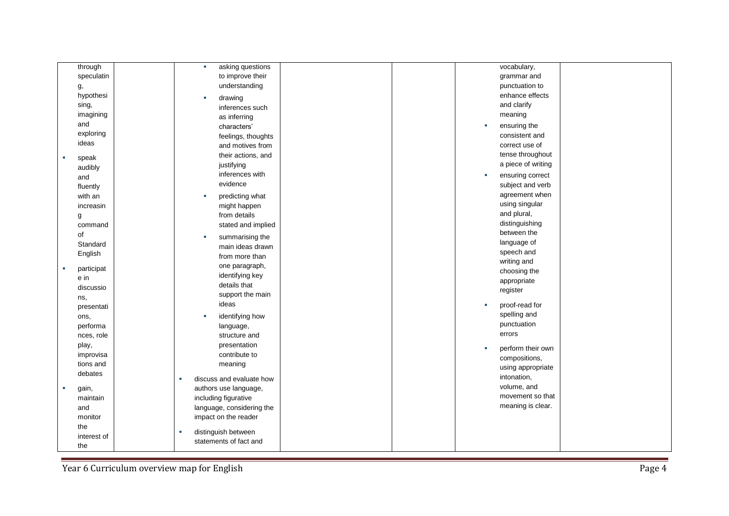| through     | asking questions<br>×     |  |            | vocabulary,        |  |
|-------------|---------------------------|--|------------|--------------------|--|
| speculatin  | to improve their          |  |            | grammar and        |  |
| g,          | understanding             |  |            | punctuation to     |  |
| hypothesi   | drawing                   |  |            | enhance effects    |  |
| sing,       | inferences such           |  |            | and clarify        |  |
| imagining   | as inferring              |  |            | meaning            |  |
| and         | characters'               |  | ×          | ensuring the       |  |
| exploring   | feelings, thoughts        |  |            | consistent and     |  |
| ideas       |                           |  |            | correct use of     |  |
|             | and motives from          |  |            | tense throughout   |  |
| speak       | their actions, and        |  |            | a piece of writing |  |
| audibly     | justifying                |  |            |                    |  |
| and         | inferences with           |  | <b>STE</b> | ensuring correct   |  |
| fluently    | evidence                  |  |            | subject and verb   |  |
| with an     | predicting what           |  |            | agreement when     |  |
| increasin   | might happen              |  |            | using singular     |  |
| g           | from details              |  |            | and plural,        |  |
| command     | stated and implied        |  |            | distinguishing     |  |
| of          | summarising the<br>×      |  |            | between the        |  |
| Standard    | main ideas drawn          |  |            | language of        |  |
| English     | from more than            |  |            | speech and         |  |
| participat  | one paragraph,            |  |            | writing and        |  |
| e in        | identifying key           |  |            | choosing the       |  |
| discussio   | details that              |  |            | appropriate        |  |
| ns,         | support the main          |  |            | register           |  |
| presentati  | ideas                     |  |            | proof-read for     |  |
| ons,        | identifying how<br>٠      |  |            | spelling and       |  |
| performa    | language,                 |  |            | punctuation        |  |
| nces, role  | structure and             |  |            | errors             |  |
| play,       | presentation              |  |            |                    |  |
| improvisa   | contribute to             |  |            | perform their own  |  |
| tions and   | meaning                   |  |            | compositions,      |  |
| debates     |                           |  |            | using appropriate  |  |
|             | discuss and evaluate how  |  |            | intonation,        |  |
| gain,       | authors use language,     |  |            | volume, and        |  |
| maintain    | including figurative      |  |            | movement so that   |  |
| and         | language, considering the |  |            | meaning is clear.  |  |
| monitor     | impact on the reader      |  |            |                    |  |
| the         |                           |  |            |                    |  |
| interest of | distinguish between       |  |            |                    |  |
| the         | statements of fact and    |  |            |                    |  |

Year 6 Curriculum overview map for English Page